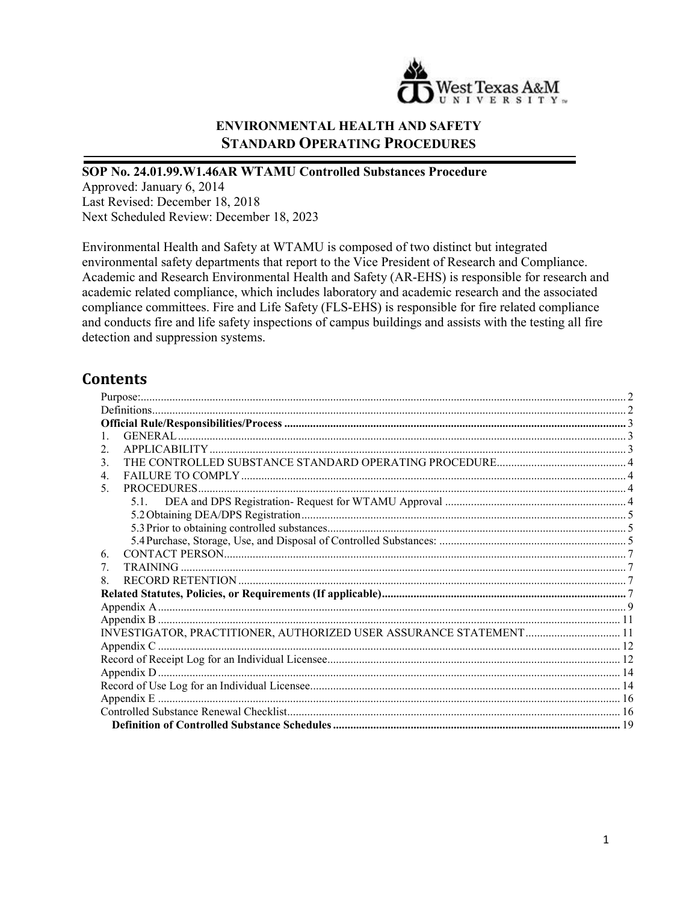

### **ENVIRONMENTAL HEALTH AND SAFETY STANDARD OPERATING PROCEDURES**

#### **SOP No. 24.01.99.W1.46AR WTAMU Controlled Substances Procedure**

Approved: January 6, 2014 Last Revised: December 18, 2018 Next Scheduled Review: December 18, 2023

Environmental Health and Safety at WTAMU is composed of two distinct but integrated environmental safety departments that report to the Vice President of Research and Compliance. Academic and Research Environmental Health and Safety (AR-EHS) is responsible for research and academic related compliance, which includes laboratory and academic research and the associated compliance committees. Fire and Life Safety (FLS-EHS) is responsible for fire related compliance and conducts fire and life safety inspections of campus buildings and assists with the testing all fire detection and suppression systems.

## **Contents**

| 2. |  |
|----|--|
| 3. |  |
| 4. |  |
| 5. |  |
|    |  |
|    |  |
|    |  |
|    |  |
| 6. |  |
| 7. |  |
| 8. |  |
|    |  |
|    |  |
|    |  |
|    |  |
|    |  |
|    |  |
|    |  |
|    |  |
|    |  |
|    |  |
|    |  |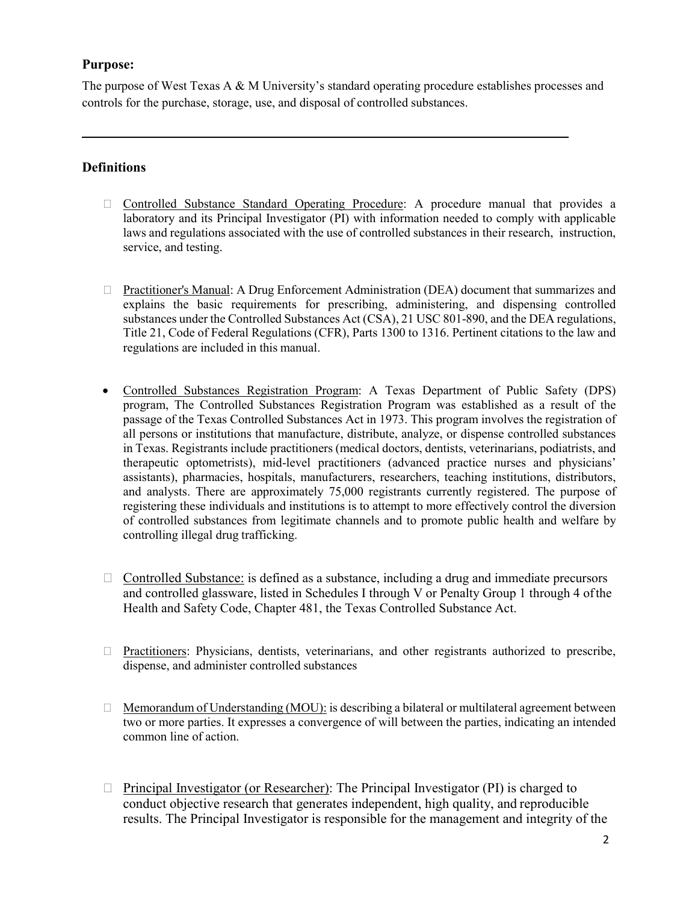#### <span id="page-1-0"></span>**Purpose:**

The purpose of West Texas A & M University's standard operating procedure establishes processes and controls for the purchase, storage, use, and disposal of controlled substances.

#### <span id="page-1-1"></span>**Definitions**

- Controlled Substance Standard Operating Procedure: A procedure manual that provides a laboratory and its Principal Investigator (PI) with information needed to comply with applicable laws and regulations associated with the use of controlled substances in their research, instruction, service, and testing.
- Practitioner's Manual: A Drug Enforcement Administration (DEA) document that summarizes and explains the basic requirements for prescribing, administering, and dispensing controlled substances under the Controlled Substances Act (CSA), 21 USC 801-890, and the DEA regulations, Title 21, Code of Federal Regulations (CFR), Parts 1300 to 1316. Pertinent citations to the law and regulations are included in this manual.
- Controlled Substances Registration Program: A Texas Department of Public Safety (DPS) program, The Controlled Substances Registration Program was established as a result of the passage of the Texas Controlled Substances Act in 1973. This program involves the registration of all persons or institutions that manufacture, distribute, analyze, or dispense controlled substances in Texas. Registrants include practitioners (medical doctors, dentists, veterinarians, podiatrists, and therapeutic optometrists), mid-level practitioners (advanced practice nurses and physicians' assistants), pharmacies, hospitals, manufacturers, researchers, teaching institutions, distributors, and analysts. There are approximately 75,000 registrants currently registered. The purpose of registering these individuals and institutions is to attempt to more effectively control the diversion of controlled substances from legitimate channels and to promote public health and welfare by controlling illegal drug trafficking.
- $\Box$  Controlled Substance: is defined as a substance, including a drug and immediate precursors and controlled glassware, listed in Schedules I through V or Penalty Group 1 through 4 ofthe Health and Safety Code, Chapter 481, the Texas Controlled Substance Act.
- □ Practitioners: Physicians, dentists, veterinarians, and other registrants authorized to prescribe, dispense, and administer controlled substances
- $\Box$  Memorandum of Understanding (MOU): is describing a bilateral or multilateral agreement between two or more parties. It expresses a convergence of will between the parties, indicating an intended common line of action.
- $\Box$  Principal Investigator (or Researcher): The Principal Investigator (PI) is charged to conduct objective research that generates independent, high quality, and reproducible results. The Principal Investigator is responsible for the management and integrity of the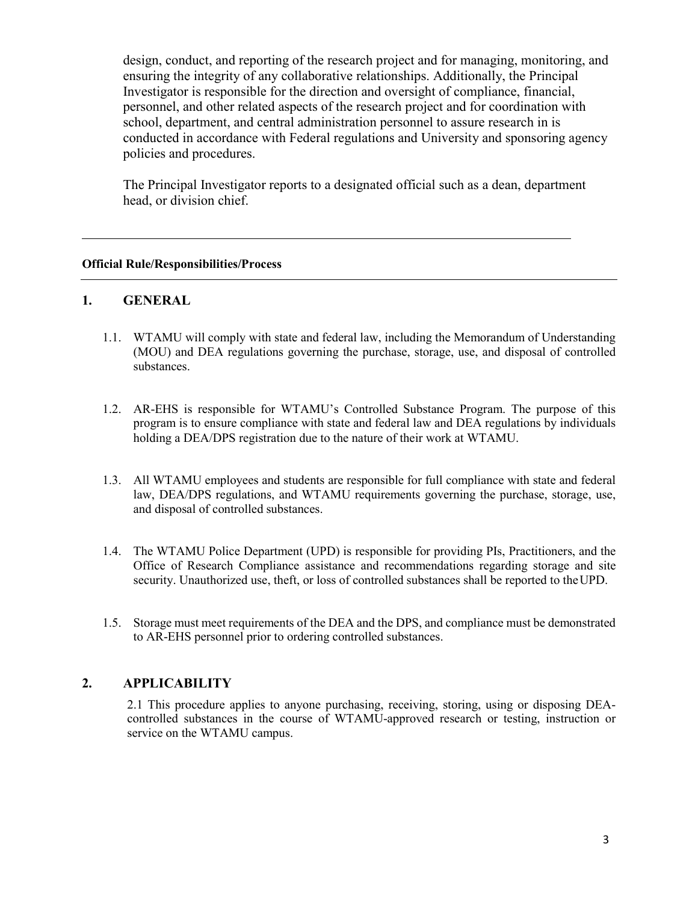design, conduct, and reporting of the research project and for managing, monitoring, and ensuring the integrity of any collaborative relationships. Additionally, the Principal Investigator is responsible for the direction and oversight of compliance, financial, personnel, and other related aspects of the research project and for coordination with school, department, and central administration personnel to assure research in is conducted in accordance with Federal regulations and University and sponsoring agency policies and procedures.

The Principal Investigator reports to a designated official such as a dean, department head, or division chief.

#### <span id="page-2-0"></span>**Official Rule/Responsibilities/Process**

#### <span id="page-2-1"></span>**1. GENERAL**

- 1.1. WTAMU will comply with state and federal law, including the Memorandum of Understanding (MOU) and DEA regulations governing the purchase, storage, use, and disposal of controlled substances.
- 1.2. AR-EHS is responsible for WTAMU's Controlled Substance Program. The purpose of this program is to ensure compliance with state and federal law and DEA regulations by individuals holding a DEA/DPS registration due to the nature of their work at WTAMU.
- 1.3. All WTAMU employees and students are responsible for full compliance with state and federal law, DEA/DPS regulations, and WTAMU requirements governing the purchase, storage, use, and disposal of controlled substances.
- 1.4. The WTAMU Police Department (UPD) is responsible for providing PIs, Practitioners, and the Office of Research Compliance assistance and recommendations regarding storage and site security. Unauthorized use, theft, or loss of controlled substances shall be reported to theUPD.
- 1.5. Storage must meet requirements of the DEA and the DPS, and compliance must be demonstrated to AR-EHS personnel prior to ordering controlled substances.

#### <span id="page-2-2"></span>**2. APPLICABILITY**

2.1 This procedure applies to anyone purchasing, receiving, storing, using or disposing DEAcontrolled substances in the course of WTAMU-approved research or testing, instruction or service on the WTAMU campus.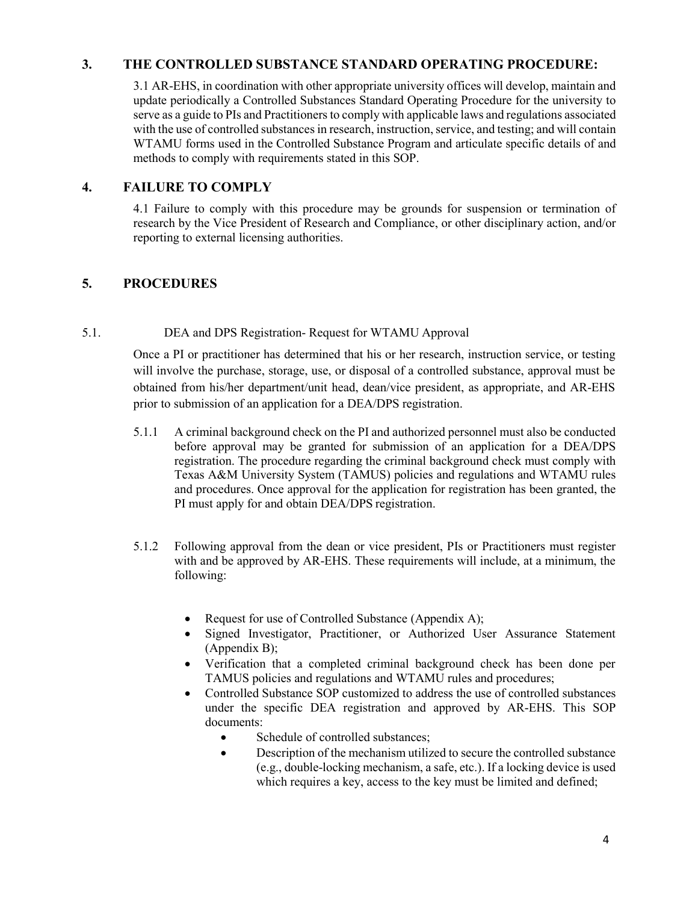#### <span id="page-3-0"></span>**3. THE CONTROLLED SUBSTANCE STANDARD OPERATING PROCEDURE:**

3.1 AR-EHS, in coordination with other appropriate university offices will develop, maintain and update periodically a Controlled Substances Standard Operating Procedure for the university to serve as a guide to PIs and Practitioners to comply with applicable laws and regulations associated with the use of controlled substances in research, instruction, service, and testing; and will contain WTAMU forms used in the Controlled Substance Program and articulate specific details of and methods to comply with requirements stated in this SOP.

#### <span id="page-3-1"></span>**4. FAILURE TO COMPLY**

4.1 Failure to comply with this procedure may be grounds for suspension or termination of research by the Vice President of Research and Compliance, or other disciplinary action, and/or reporting to external licensing authorities.

#### <span id="page-3-2"></span>**5. PROCEDURES**

#### <span id="page-3-3"></span>5.1. DEA and DPS Registration- Request for WTAMU Approval

Once a PI or practitioner has determined that his or her research, instruction service, or testing will involve the purchase, storage, use, or disposal of a controlled substance, approval must be obtained from his/her department/unit head, dean/vice president, as appropriate, and AR-EHS prior to submission of an application for a DEA/DPS registration.

- 5.1.1 A criminal background check on the PI and authorized personnel must also be conducted before approval may be granted for submission of an application for a DEA/DPS registration. The procedure regarding the criminal background check must comply with Texas A&M University System (TAMUS) policies and regulations and WTAMU rules and procedures. Once approval for the application for registration has been granted, the PI must apply for and obtain DEA/DPS registration.
- 5.1.2 Following approval from the dean or vice president, PIs or Practitioners must register with and be approved by AR-EHS. These requirements will include, at a minimum, the following:
	- Request for use of Controlled Substance (Appendix A);
	- Signed Investigator, Practitioner, or Authorized User Assurance Statement (Appendix B);
	- Verification that a completed criminal background check has been done per TAMUS policies and regulations and WTAMU rules and procedures;
	- Controlled Substance SOP customized to address the use of controlled substances under the specific DEA registration and approved by AR-EHS. This SOP documents:
		- Schedule of controlled substances;
		- Description of the mechanism utilized to secure the controlled substance (e.g., double-locking mechanism, a safe, etc.). If a locking device is used which requires a key, access to the key must be limited and defined;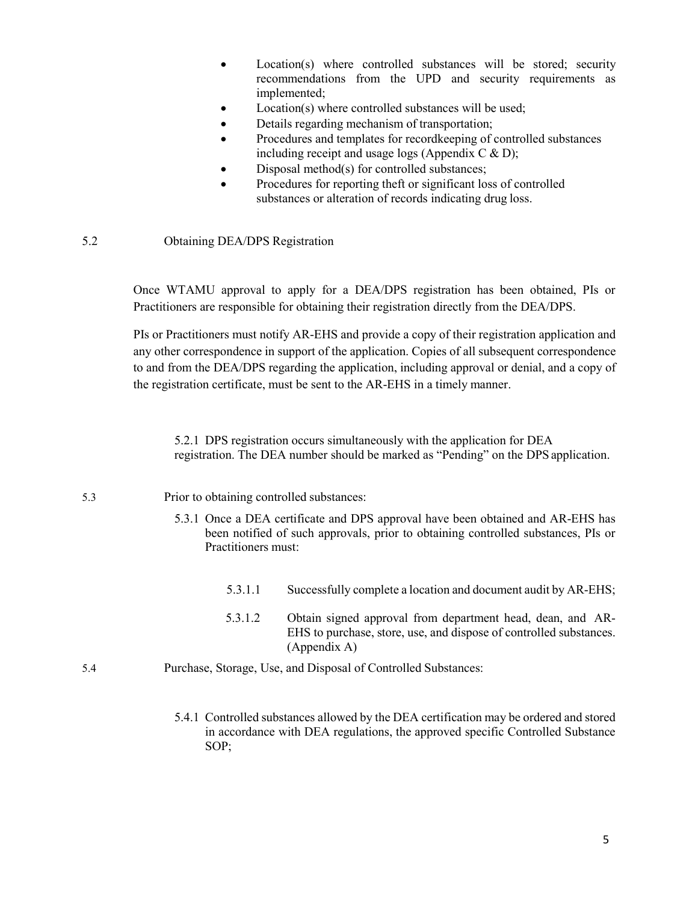- Location(s) where controlled substances will be stored; security recommendations from the UPD and security requirements as implemented;
- Location(s) where controlled substances will be used;
- Details regarding mechanism of transportation;
- Procedures and templates for recordkeeping of controlled substances including receipt and usage logs (Appendix C  $\&$  D);
- Disposal method(s) for controlled substances;
- Procedures for reporting theft or significant loss of controlled substances or alteration of records indicating drug loss.

#### <span id="page-4-0"></span>5.2 Obtaining DEA/DPS Registration

Once WTAMU approval to apply for a DEA/DPS registration has been obtained, PIs or Practitioners are responsible for obtaining their registration directly from the DEA/DPS.

PIs or Practitioners must notify AR-EHS and provide a copy of their registration application and any other correspondence in support of the application. Copies of all subsequent correspondence to and from the DEA/DPS regarding the application, including approval or denial, and a copy of the registration certificate, must be sent to the AR-EHS in a timely manner.

5.2.1 DPS registration occurs simultaneously with the application for DEA registration. The DEA number should be marked as "Pending" on the DPS application.

- <span id="page-4-1"></span>5.3 Prior to obtaining controlled substances:
	- 5.3.1 Once a DEA certificate and DPS approval have been obtained and AR-EHS has been notified of such approvals, prior to obtaining controlled substances, PIs or Practitioners must:
		- 5.3.1.1 Successfully complete a location and document audit by AR-EHS;
		- 5.3.1.2 Obtain signed approval from department head, dean, and AR-EHS to purchase, store, use, and dispose of controlled substances. (Appendix A)
- <span id="page-4-2"></span>5.4 Purchase, Storage, Use, and Disposal of Controlled Substances:
	- 5.4.1 Controlled substances allowed by the DEA certification may be ordered and stored in accordance with DEA regulations, the approved specific Controlled Substance SOP;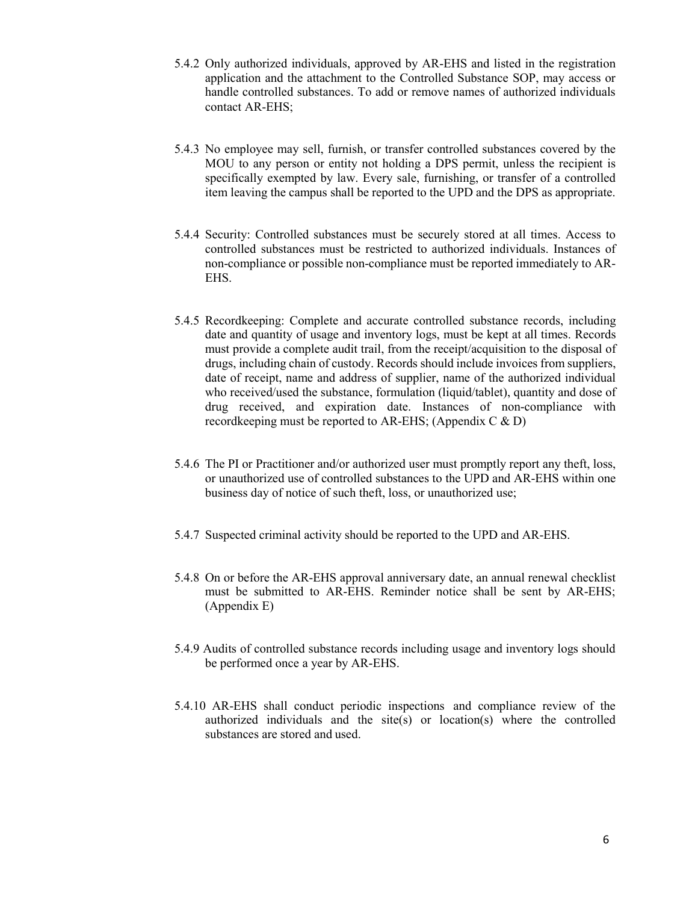- 5.4.2 Only authorized individuals, approved by AR-EHS and listed in the registration application and the attachment to the Controlled Substance SOP, may access or handle controlled substances. To add or remove names of authorized individuals contact AR-EHS;
- 5.4.3 No employee may sell, furnish, or transfer controlled substances covered by the MOU to any person or entity not holding a DPS permit, unless the recipient is specifically exempted by law. Every sale, furnishing, or transfer of a controlled item leaving the campus shall be reported to the UPD and the DPS as appropriate.
- 5.4.4 Security: Controlled substances must be securely stored at all times. Access to controlled substances must be restricted to authorized individuals. Instances of non-compliance or possible non-compliance must be reported immediately to AR-EHS.
- 5.4.5 Recordkeeping: Complete and accurate controlled substance records, including date and quantity of usage and inventory logs, must be kept at all times. Records must provide a complete audit trail, from the receipt/acquisition to the disposal of drugs, including chain of custody. Records should include invoices from suppliers, date of receipt, name and address of supplier, name of the authorized individual who received/used the substance, formulation (liquid/tablet), quantity and dose of drug received, and expiration date. Instances of non-compliance with recordkeeping must be reported to AR-EHS; (Appendix C & D)
- 5.4.6 The PI or Practitioner and/or authorized user must promptly report any theft, loss, or unauthorized use of controlled substances to the UPD and AR-EHS within one business day of notice of such theft, loss, or unauthorized use;
- 5.4.7 Suspected criminal activity should be reported to the UPD and AR-EHS.
- 5.4.8 On or before the AR-EHS approval anniversary date, an annual renewal checklist must be submitted to AR-EHS. Reminder notice shall be sent by AR-EHS; (Appendix E)
- 5.4.9 Audits of controlled substance records including usage and inventory logs should be performed once a year by AR-EHS.
- 5.4.10 AR-EHS shall conduct periodic inspections and compliance review of the authorized individuals and the site(s) or location(s) where the controlled substances are stored and used.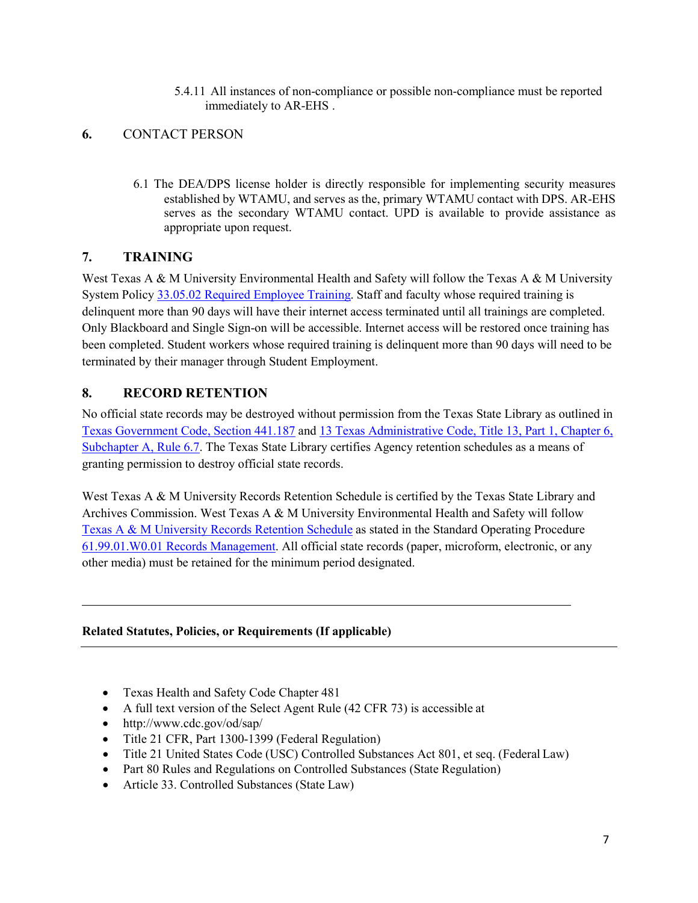5.4.11 All instances of non-compliance or possible non-compliance must be reported immediately to AR-EHS .

#### <span id="page-6-0"></span>**6.** CONTACT PERSON

6.1 The DEA/DPS license holder is directly responsible for implementing security measures established by WTAMU, and serves as the, primary WTAMU contact with DPS. AR-EHS serves as the secondary WTAMU contact. UPD is available to provide assistance as appropriate upon request.

#### <span id="page-6-1"></span>**7. TRAINING**

West Texas A & M University Environmental Health and Safety will follow the Texas A & M University System Policy [33.05.02 Required Employee Training.](http://policies.tamus.edu/33-05-02.pdf) Staff and faculty whose required training is delinquent more than 90 days will have their internet access terminated until all trainings are completed. Only Blackboard and Single Sign-on will be accessible. Internet access will be restored once training has been completed. Student workers whose required training is delinquent more than 90 days will need to be terminated by their manager through Student Employment.

#### <span id="page-6-2"></span>**8. RECORD RETENTION**

No official state records may be destroyed without permission from the Texas State Library as outlined in [Texas Government Code, Section 441.187](http://www.statutes.legis.state.tx.us/?link=GV) and [13 Texas Administrative Code, Title 13, Part 1, Chapter 6,](http://info.sos.state.tx.us/pls/pub/readtac%24ext.TacPage?sl=R&app=9&p_dir&p_rloc&p_tloc&p_ploc&pg=1&p_tac&ti=13&pt=1&ch=6&rl=7U) [Subchapter A, Rule 6.7. T](http://info.sos.state.tx.us/pls/pub/readtac%24ext.TacPage?sl=R&app=9&p_dir&p_rloc&p_tloc&p_ploc&pg=1&p_tac&ti=13&pt=1&ch=6&rl=7U)he Texas State Library certifies Agency retention schedules as a means of granting permission to destroy official state records.

West Texas A & M University Records Retention Schedule is certified by the Texas State Library and Archives Commission. West Texas A & M University Environmental Health and Safety will follow [Texas A & M University Records Retention Schedule](http://www.wtamu.edu/webres/File/Risk%20Management/System-Records-Retention-Schedule-Dec2012.pdf) as stated in the Standard Operating Procedure [61.99.01.W0.01 Records Management.](http://www.wtamu.edu/webres/File/Risk%20Management/61.99.01.W0.01_PROCEDURE_Records%20Management_FINAL%20SIGNED.pdf) All official state records (paper, microform, electronic, or any other media) must be retained for the minimum period designated.

#### <span id="page-6-3"></span>**Related Statutes, Policies, or Requirements (If applicable)**

- Texas Health and Safety Code Chapter 481
- A full text version of the Select Agent Rule (42 CFR 73) is accessible at
- <http://www.cdc.gov/od/sap/>
- Title 21 CFR, Part 1300-1399 (Federal Regulation)
- Title 21 United States Code (USC) Controlled Substances Act 801, et seq. (Federal Law)
- Part 80 Rules and Regulations on Controlled Substances (State Regulation)
- Article 33. Controlled Substances (State Law)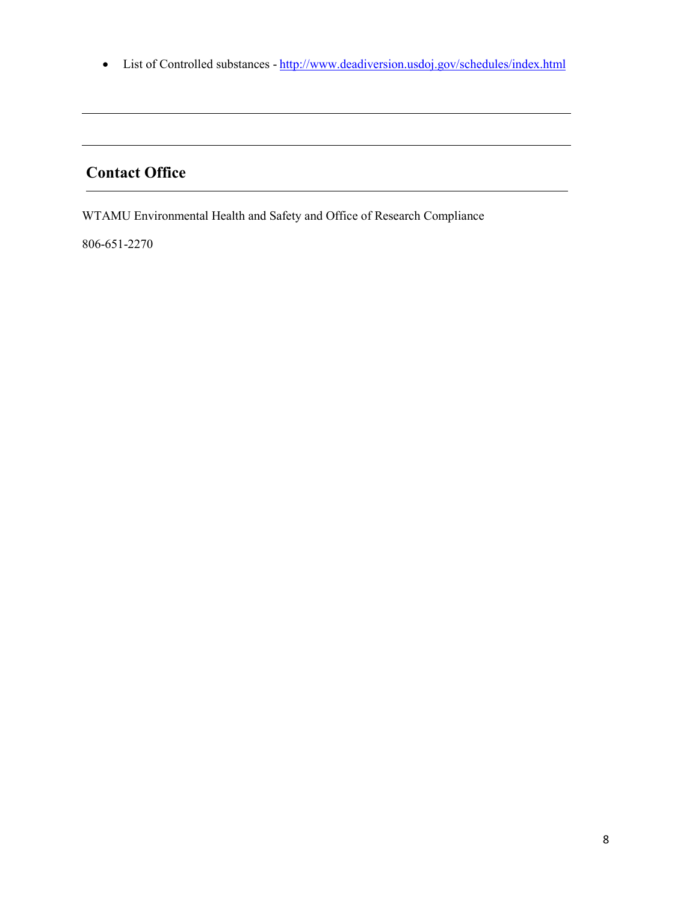• List of Controlled substances - <http://www.deadiversion.usdoj.gov/schedules/index.html>

# **Contact Office**

WTAMU Environmental Health and Safety and Office of Research Compliance

806-651-2270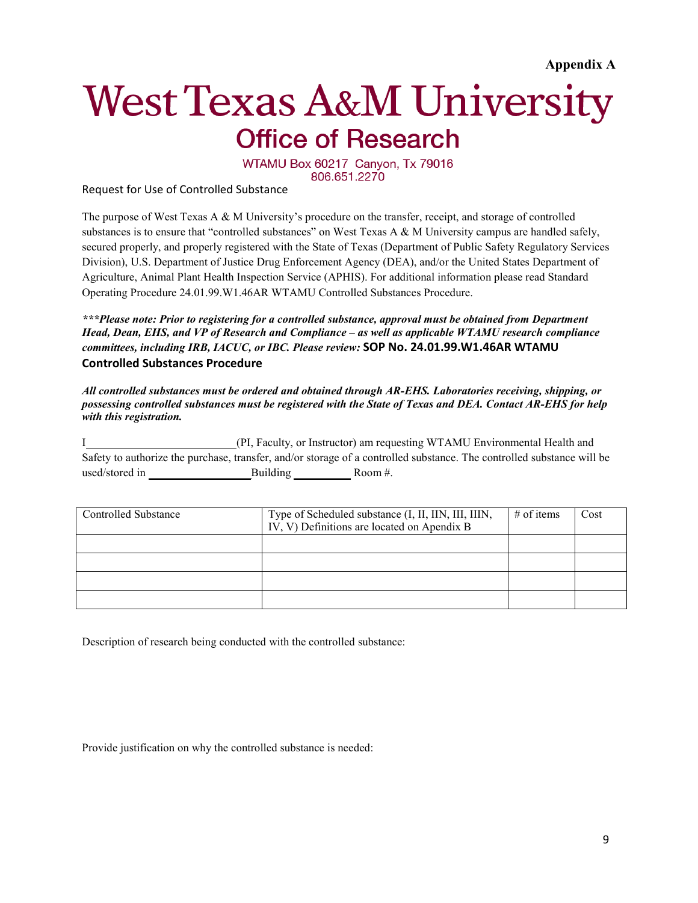**Appendix A**

# <span id="page-8-0"></span>**West Texas A&M University Office of Research**

WTAMU Box 60217 Canyon, Tx 79016 806.651.2270

Request for Use of Controlled Substance

The purpose of West Texas A & M University's procedure on the transfer, receipt, and storage of controlled substances is to ensure that "controlled substances" on West Texas A & M University campus are handled safely, secured properly, and properly registered with the State of Texas (Department of Public Safety Regulatory Services Division), U.S. Department of Justice Drug Enforcement Agency (DEA), and/or the United States Department of Agriculture, Animal Plant Health Inspection Service (APHIS). For additional information please read Standard Operating Procedure 24.01.99.W1.46AR WTAMU Controlled Substances Procedure.

*\*\*\*Please note: Prior to registering for a controlled substance, approval must be obtained from Department Head, Dean, EHS, and VP of Research and Compliance – as well as applicable WTAMU research compliance committees, including IRB, IACUC, or IBC. Please review:* **SOP No. 24.01.99.W1.46AR WTAMU Controlled Substances Procedure**

*All controlled substances must be ordered and obtained through AR-EHS. Laboratories receiving, shipping, or possessing controlled substances must be registered with the State of Texas and DEA. Contact AR-EHS for help with this registration.*

I (PI, Faculty, or Instructor) am requesting WTAMU Environmental Health and Safety to authorize the purchase, transfer, and/or storage of a controlled substance. The controlled substance will be used/stored in Building Room #.

| Controlled Substance | Type of Scheduled substance (I, II, IIN, III, IIIN,<br>$\overline{IV}$ , $\overline{V}$ ) Definitions are located on Apendix B | # of items | Cost |
|----------------------|--------------------------------------------------------------------------------------------------------------------------------|------------|------|
|                      |                                                                                                                                |            |      |
|                      |                                                                                                                                |            |      |
|                      |                                                                                                                                |            |      |
|                      |                                                                                                                                |            |      |

Description of research being conducted with the controlled substance:

Provide justification on why the controlled substance is needed: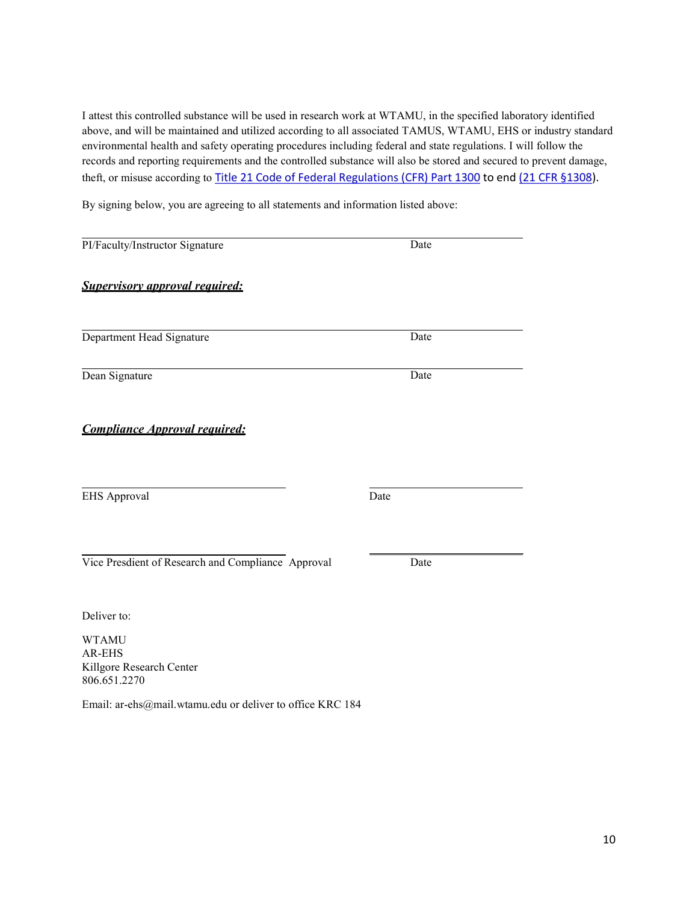I attest this controlled substance will be used in research work at WTAMU, in the specified laboratory identified above, and will be maintained and utilized according to all associated TAMUS, WTAMU, EHS or industry standard environmental health and safety operating procedures including federal and state regulations. I will follow the records and reporting requirements and the controlled substance will also be stored and secured to prevent damage, theft, or misuse according to [Title 21 Code of Federal Regulations \(CFR\) Part 1300](http://www.deadiversion.usdoj.gov/21cfr/cfr/2100cfrt.htm) to end [\(21 CFR §1308\)](http://www.deadiversion.usdoj.gov/21cfr/cfr/2108cfrt.htm).

By signing below, you are agreeing to all statements and information listed above:

| Date |  |
|------|--|
| Date |  |
|      |  |
| Date |  |
| Date |  |
|      |  |
|      |  |
|      |  |

Email: [ar-ehs@mail.wtamu.edu o](mailto:ar-ehs@mail.wtamu.edu)r deliver to office KRC 184

806.651.2270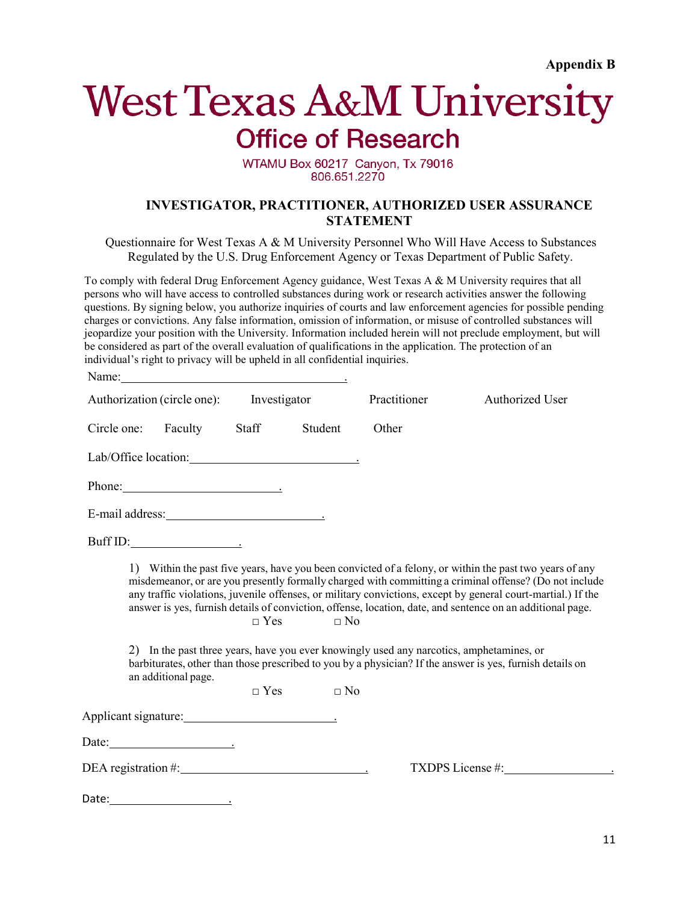# <span id="page-10-0"></span>**West Texas A&M University Office of Research**

#### WTAMU Box 60217 Canyon, Tx 79016 806.651.2270

#### **INVESTIGATOR, PRACTITIONER, AUTHORIZED USER ASSURANCE STATEMENT**

<span id="page-10-1"></span>Questionnaire for West Texas A & M University Personnel Who Will Have Access to Substances Regulated by the U.S. Drug Enforcement Agency or Texas Department of Public Safety.

To comply with federal Drug Enforcement Agency guidance, West Texas A & M University requires that all persons who will have access to controlled substances during work or research activities answer the following questions. By signing below, you authorize inquiries of courts and law enforcement agencies for possible pending charges or convictions. Any false information, omission of information, or misuse of controlled substances will jeopardize your position with the University. Information included herein will not preclude employment, but will be considered as part of the overall evaluation of qualifications in the application. The protection of an individual's right to privacy will be upheld in all confidential inquiries.

| Name:       |                             |                          |                        |                                                                                          |                                                                                                                                                                                                                                                                                                                                                                                                                                                                                                                                                              |
|-------------|-----------------------------|--------------------------|------------------------|------------------------------------------------------------------------------------------|--------------------------------------------------------------------------------------------------------------------------------------------------------------------------------------------------------------------------------------------------------------------------------------------------------------------------------------------------------------------------------------------------------------------------------------------------------------------------------------------------------------------------------------------------------------|
|             | Authorization (circle one): | Investigator             |                        | Practitioner                                                                             | Authorized User                                                                                                                                                                                                                                                                                                                                                                                                                                                                                                                                              |
| Circle one: | Faculty                     | Staff                    | Student                | Other                                                                                    |                                                                                                                                                                                                                                                                                                                                                                                                                                                                                                                                                              |
|             |                             |                          |                        |                                                                                          |                                                                                                                                                                                                                                                                                                                                                                                                                                                                                                                                                              |
|             | Phone:                      |                          |                        |                                                                                          |                                                                                                                                                                                                                                                                                                                                                                                                                                                                                                                                                              |
|             |                             |                          |                        |                                                                                          |                                                                                                                                                                                                                                                                                                                                                                                                                                                                                                                                                              |
|             | Buff ID:                    |                          |                        |                                                                                          |                                                                                                                                                                                                                                                                                                                                                                                                                                                                                                                                                              |
|             | an additional page.         | $\Box$ Yes<br>$\Box$ Yes | $\Box$ No<br>$\Box$ No | 2) In the past three years, have you ever knowingly used any narcotics, amphetamines, or | 1) Within the past five years, have you been convicted of a felony, or within the past two years of any<br>misdemeanor, or are you presently formally charged with committing a criminal offense? (Do not include<br>any traffic violations, juvenile offenses, or military convictions, except by general court-martial.) If the<br>answer is yes, furnish details of conviction, offense, location, date, and sentence on an additional page.<br>barbiturates, other than those prescribed to you by a physician? If the answer is yes, furnish details on |
|             |                             |                          |                        |                                                                                          |                                                                                                                                                                                                                                                                                                                                                                                                                                                                                                                                                              |
|             | Date: $\qquad \qquad$       |                          |                        |                                                                                          |                                                                                                                                                                                                                                                                                                                                                                                                                                                                                                                                                              |
|             |                             |                          |                        |                                                                                          |                                                                                                                                                                                                                                                                                                                                                                                                                                                                                                                                                              |
|             |                             |                          |                        |                                                                                          |                                                                                                                                                                                                                                                                                                                                                                                                                                                                                                                                                              |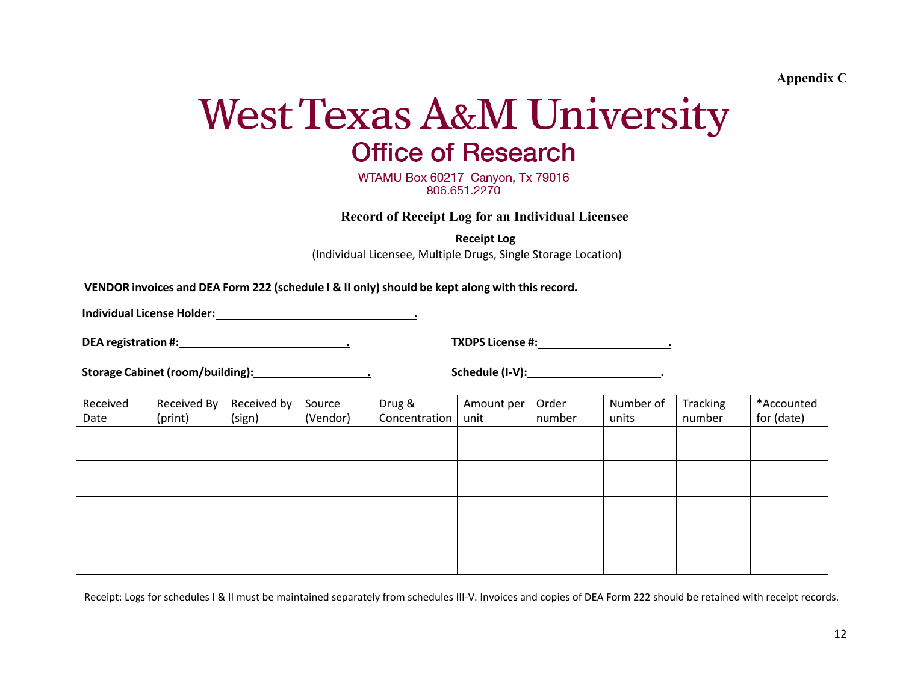**Appendix C**

# **West Texas A&M University Office of Research**

WTAMU Box 60217 Canyon, Tx 79016 806.651.2270

**Record of Receipt Log for an Individual Licensee**

**Receipt Log**

(Individual Licensee, Multiple Drugs, Single Storage Location)

<span id="page-11-0"></span>**VENDOR invoices and DEA Form 222 (schedule I & II only)should be kept along with this record.** 

**Individual License Holder: .**

**DEA registration #: . TXDPS License #: .**

**Storage Cabinet (room/building): . Schedule (I-V): .**

<span id="page-11-1"></span>

| Received<br>Date | Received By<br>(print) | Received by<br>(sign) | Source<br>(Vendor) | Drug &<br>Concentration | Amount per<br>unit | Order<br>number | Number of<br>units | Tracking<br>number | *Accounted<br>for (date) |
|------------------|------------------------|-----------------------|--------------------|-------------------------|--------------------|-----------------|--------------------|--------------------|--------------------------|
|                  |                        |                       |                    |                         |                    |                 |                    |                    |                          |
|                  |                        |                       |                    |                         |                    |                 |                    |                    |                          |
|                  |                        |                       |                    |                         |                    |                 |                    |                    |                          |
|                  |                        |                       |                    |                         |                    |                 |                    |                    |                          |

Receipt: Logs for schedules I & II must be maintained separately from schedules III-V. Invoices and copies of DEA Form 222 should be retained with receipt records.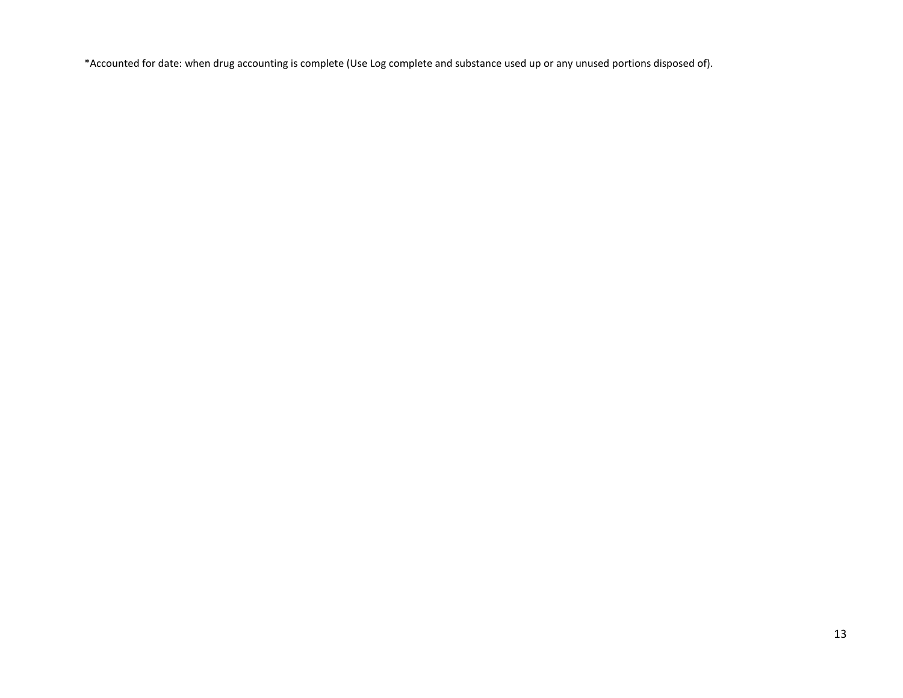\*Accounted for date: when drug accounting is complete (Use Log complete and substance used up or any unused portions disposed of).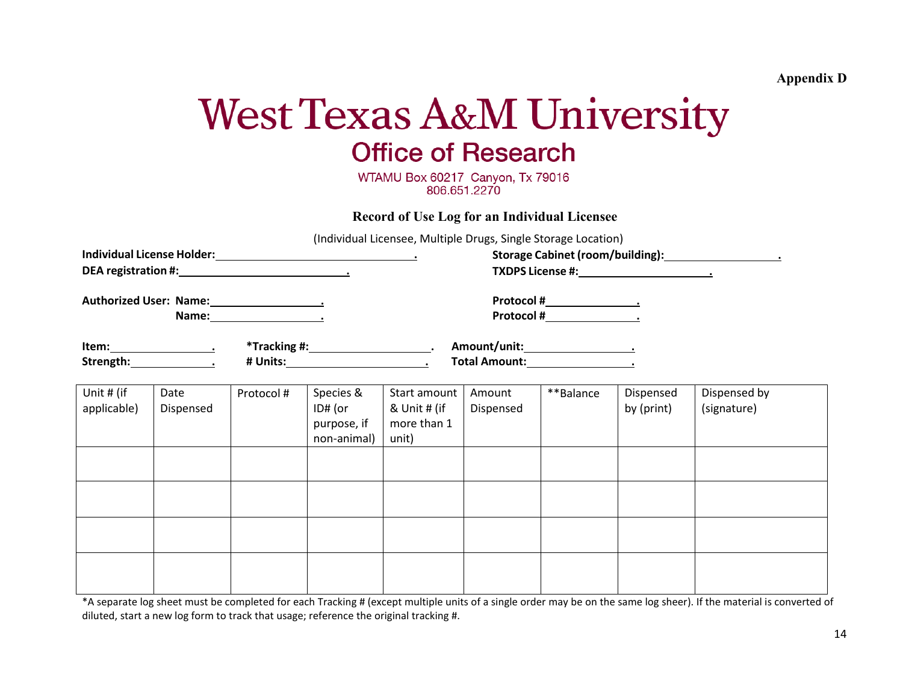**Appendix D**

# **West Texas A&M University Office of Research**

WTAMU Box 60217 Canyon, Tx 79016 806.651.2270

**Record of Use Log for an Individual Licensee**

(Individual Licensee, Multiple Drugs, Single Storage Location)

<span id="page-13-1"></span><span id="page-13-0"></span>

| mandadi Electisee, maltiple Drugs, single storage Eocation,<br>DEA registration #: Notified that the set of the set of the set of the set of the set of the set of the set of the set of the set of the set of the set of the set of the set of the set of the set of the set of the set of t |                   |                                          |                                                    |                                                      |                     |           |                         |                             |
|-----------------------------------------------------------------------------------------------------------------------------------------------------------------------------------------------------------------------------------------------------------------------------------------------|-------------------|------------------------------------------|----------------------------------------------------|------------------------------------------------------|---------------------|-----------|-------------------------|-----------------------------|
| Authorized User: Name: 1990 1991                                                                                                                                                                                                                                                              |                   |                                          |                                                    |                                                      |                     |           |                         |                             |
| Strength: 1999                                                                                                                                                                                                                                                                                |                   | *Tracking #: __________________________. |                                                    |                                                      |                     |           |                         |                             |
| Unit # (if<br>applicable)                                                                                                                                                                                                                                                                     | Date<br>Dispensed | Protocol #                               | Species &<br>ID# (or<br>purpose, if<br>non-animal) | Start amount<br>& Unit # (if<br>more than 1<br>unit) | Amount<br>Dispensed | **Balance | Dispensed<br>by (print) | Dispensed by<br>(signature) |
|                                                                                                                                                                                                                                                                                               |                   |                                          |                                                    |                                                      |                     |           |                         |                             |
|                                                                                                                                                                                                                                                                                               |                   |                                          |                                                    |                                                      |                     |           |                         |                             |
|                                                                                                                                                                                                                                                                                               |                   |                                          |                                                    |                                                      |                     |           |                         |                             |
|                                                                                                                                                                                                                                                                                               |                   |                                          |                                                    |                                                      |                     |           |                         |                             |

\*A separate log sheet must be completed for each Tracking # (except multiple units of a single order may be on the same log sheer). If the material is converted of diluted, start a new log form to track that usage; reference the original tracking #.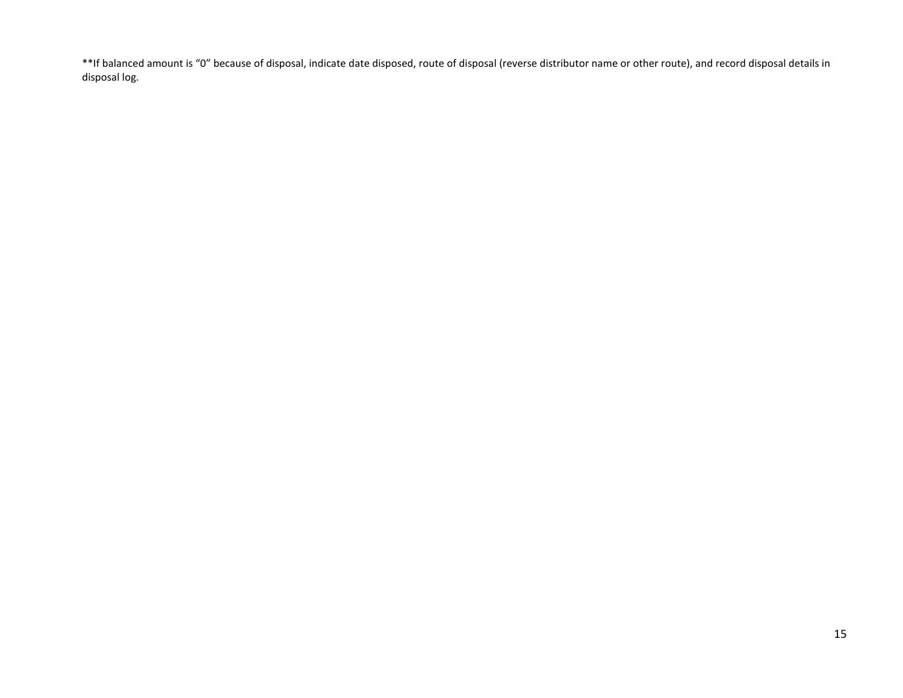\*\*If balanced amount is "0" because of disposal, indicate date disposed, route of disposal (reverse distributor name or other route), and record disposal details in disposal log.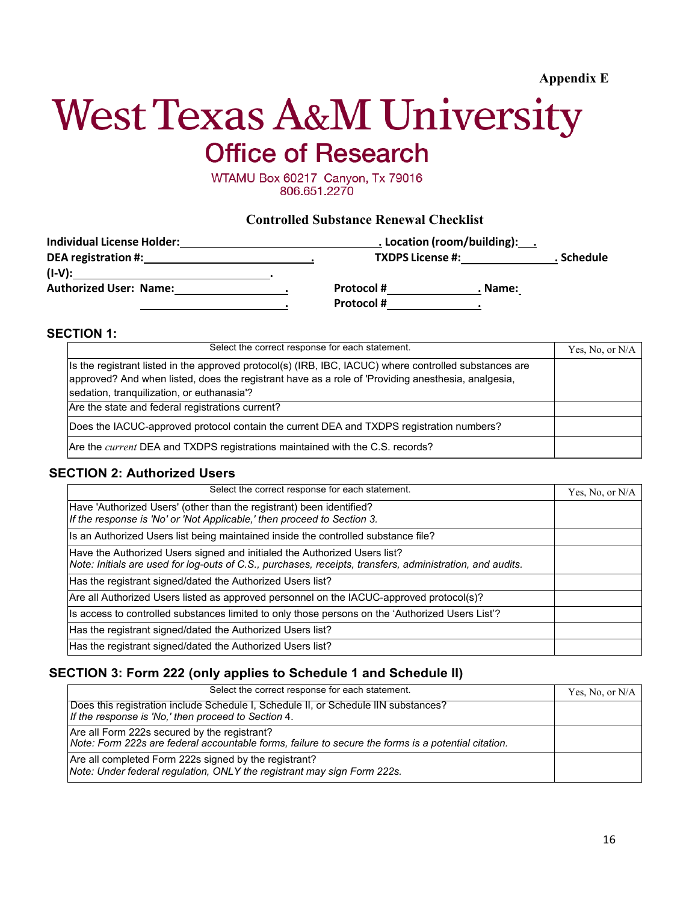# <span id="page-15-0"></span>**West Texas A&M University Office of Research**

WTAMU Box 60217 Canyon, Tx 79016 806.651.2270

#### **Controlled Substance Renewal Checklist**

<span id="page-15-1"></span>

| <b>Individual License Holder:</b> | . Location (room/building): . |                         |         |            |
|-----------------------------------|-------------------------------|-------------------------|---------|------------|
| DEA registration #:               |                               | <b>TXDPS License #:</b> |         | . Schedule |
| $(I-V)$ :                         |                               |                         |         |            |
| <b>Authorized User: Name:</b>     |                               | <b>Protocol#</b>        | . Name: |            |
|                                   |                               | <b>Protocol#</b>        |         |            |

#### **SECTION 1:**

| Select the correct response for each statement.                                                                                                                                                                                                            | Yes, No, or $N/A$ |
|------------------------------------------------------------------------------------------------------------------------------------------------------------------------------------------------------------------------------------------------------------|-------------------|
| Is the registrant listed in the approved protocol(s) (IRB, IBC, IACUC) where controlled substances are<br>approved? And when listed, does the registrant have as a role of 'Providing anesthesia, analgesia,<br>sedation, tranquilization, or euthanasia'? |                   |
| Are the state and federal registrations current?                                                                                                                                                                                                           |                   |
| Does the IACUC-approved protocol contain the current DEA and TXDPS registration numbers?                                                                                                                                                                   |                   |
| Are the <i>current</i> DEA and TXDPS registrations maintained with the C.S. records?                                                                                                                                                                       |                   |

#### **SECTION 2: Authorized Users**

| Select the correct response for each statement.                                                                                                                                        | Yes, No, or N/A |
|----------------------------------------------------------------------------------------------------------------------------------------------------------------------------------------|-----------------|
| Have 'Authorized Users' (other than the registrant) been identified?<br>If the response is 'No' or 'Not Applicable,' then proceed to Section 3.                                        |                 |
| Is an Authorized Users list being maintained inside the controlled substance file?                                                                                                     |                 |
| Have the Authorized Users signed and initialed the Authorized Users list?<br>Note: Initials are used for log-outs of C.S., purchases, receipts, transfers, administration, and audits. |                 |
| Has the registrant signed/dated the Authorized Users list?                                                                                                                             |                 |
| Are all Authorized Users listed as approved personnel on the IACUC-approved protocol(s)?                                                                                               |                 |
| Is access to controlled substances limited to only those persons on the 'Authorized Users List'?                                                                                       |                 |
| Has the registrant signed/dated the Authorized Users list?                                                                                                                             |                 |
| Has the registrant signed/dated the Authorized Users list?                                                                                                                             |                 |

#### **SECTION 3: Form 222 (only applies to Schedule 1 and Schedule II)**

| Select the correct response for each statement.                                                                                                     | Yes, No, or $N/A$ |
|-----------------------------------------------------------------------------------------------------------------------------------------------------|-------------------|
| Does this registration include Schedule I, Schedule II, or Schedule IIN substances?<br>If the response is 'No,' then proceed to Section 4.          |                   |
| Are all Form 222s secured by the registrant?<br>Note: Form 222s are federal accountable forms, failure to secure the forms is a potential citation. |                   |
| Are all completed Form 222s signed by the registrant?<br>Note: Under federal regulation, ONLY the registrant may sign Form 222s.                    |                   |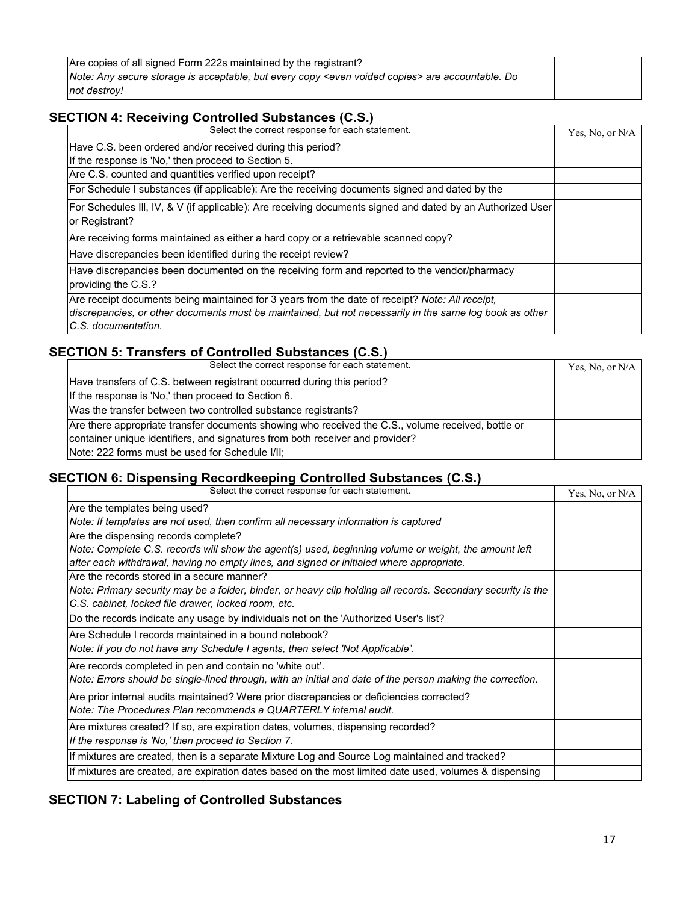| Are copies of all signed Form 222s maintained by the registrant?                                             |  |
|--------------------------------------------------------------------------------------------------------------|--|
| Note: Any secure storage is acceptable, but every copy <even copies="" voided=""> are accountable. Do</even> |  |
| not destroy!                                                                                                 |  |

### **SECTION 4: Receiving Controlled Substances (C.S.)**

| Select the correct response for each statement.                                                            | Yes, No, or N/A |
|------------------------------------------------------------------------------------------------------------|-----------------|
| Have C.S. been ordered and/or received during this period?                                                 |                 |
| If the response is 'No,' then proceed to Section 5.                                                        |                 |
| Are C.S. counted and quantities verified upon receipt?                                                     |                 |
| For Schedule I substances (if applicable): Are the receiving documents signed and dated by the             |                 |
| For Schedules III, IV, & V (if applicable): Are receiving documents signed and dated by an Authorized User |                 |
| or Registrant?                                                                                             |                 |
| Are receiving forms maintained as either a hard copy or a retrievable scanned copy?                        |                 |
| Have discrepancies been identified during the receipt review?                                              |                 |
| Have discrepancies been documented on the receiving form and reported to the vendor/pharmacy               |                 |
| providing the C.S.?                                                                                        |                 |
| Are receipt documents being maintained for 3 years from the date of receipt? Note: All receipt,            |                 |
| discrepancies, or other documents must be maintained, but not necessarily in the same log book as other    |                 |
| C.S. documentation.                                                                                        |                 |

### **SECTION 5: Transfers of Controlled Substances (C.S.)**

| Select the correct response for each statement.                                                    | Yes, No, or $N/A$ |
|----------------------------------------------------------------------------------------------------|-------------------|
| Have transfers of C.S. between registrant occurred during this period?                             |                   |
| If the response is 'No,' then proceed to Section 6.                                                |                   |
| Was the transfer between two controlled substance registrants?                                     |                   |
| Are there appropriate transfer documents showing who received the C.S., volume received, bottle or |                   |
| container unique identifiers, and signatures from both receiver and provider?                      |                   |
| Note: 222 forms must be used for Schedule I/II;                                                    |                   |

#### **SECTION 6: Dispensing Recordkeeping Controlled Substances (C.S.)**

| Select the correct response for each statement.                                                              | Yes, No, or N/A |
|--------------------------------------------------------------------------------------------------------------|-----------------|
| Are the templates being used?                                                                                |                 |
| Note: If templates are not used, then confirm all necessary information is captured                          |                 |
| Are the dispensing records complete?                                                                         |                 |
| Note: Complete C.S. records will show the agent(s) used, beginning volume or weight, the amount left         |                 |
| after each withdrawal, having no empty lines, and signed or initialed where appropriate.                     |                 |
| Are the records stored in a secure manner?                                                                   |                 |
| Note: Primary security may be a folder, binder, or heavy clip holding all records. Secondary security is the |                 |
| C.S. cabinet, locked file drawer, locked room, etc.                                                          |                 |
| Do the records indicate any usage by individuals not on the 'Authorized User's list?                         |                 |
| Are Schedule I records maintained in a bound notebook?                                                       |                 |
| Note: If you do not have any Schedule I agents, then select 'Not Applicable'.                                |                 |
| Are records completed in pen and contain no 'white out'.                                                     |                 |
| Note: Errors should be single-lined through, with an initial and date of the person making the correction.   |                 |
| Are prior internal audits maintained? Were prior discrepancies or deficiencies corrected?                    |                 |
| Note: The Procedures Plan recommends a QUARTERLY internal audit.                                             |                 |
| Are mixtures created? If so, are expiration dates, volumes, dispensing recorded?                             |                 |
| If the response is 'No,' then proceed to Section 7.                                                          |                 |
| If mixtures are created, then is a separate Mixture Log and Source Log maintained and tracked?               |                 |
| If mixtures are created, are expiration dates based on the most limited date used, volumes & dispensing      |                 |

## **SECTION 7: Labeling of Controlled Substances**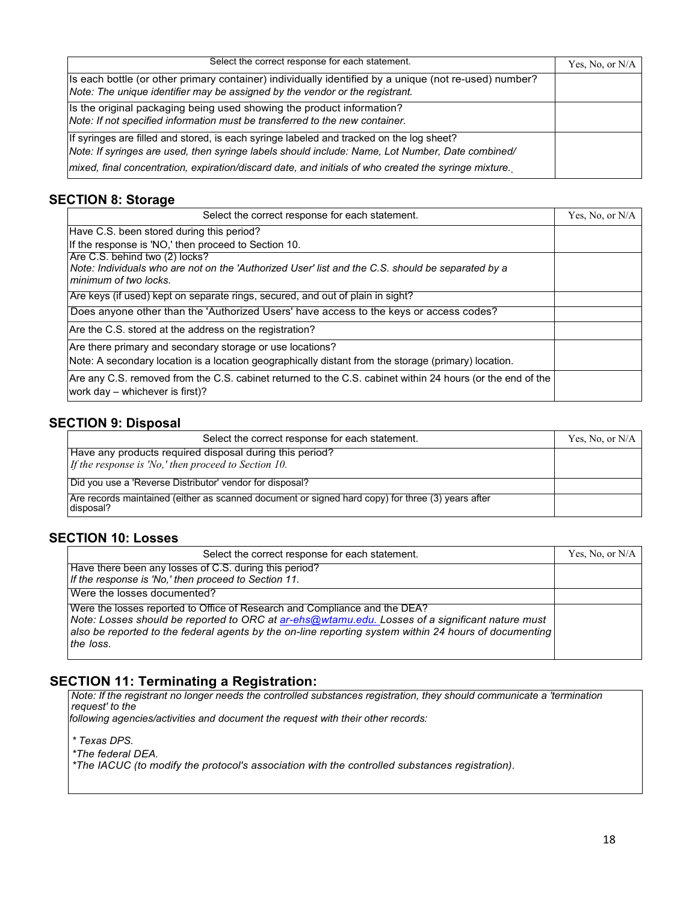| Select the correct response for each statement.                                                                                                                                              | Yes, No, or N/A |
|----------------------------------------------------------------------------------------------------------------------------------------------------------------------------------------------|-----------------|
| Is each bottle (or other primary container) individually identified by a unique (not re-used) number?<br>Note: The unique identifier may be assigned by the vendor or the registrant.        |                 |
| Is the original packaging being used showing the product information?<br>Note: If not specified information must be transferred to the new container.                                        |                 |
| If syringes are filled and stored, is each syringe labeled and tracked on the log sheet?<br>Note: If syringes are used, then syringe labels should include: Name, Lot Number, Date combined/ |                 |
| mixed, final concentration, expiration/discard date, and initials of who created the syringe mixture.                                                                                        |                 |

### **SECTION 8: Storage**

| Select the correct response for each statement.                                                                                                              | Yes, No, or N/A |
|--------------------------------------------------------------------------------------------------------------------------------------------------------------|-----------------|
| Have C.S. been stored during this period?                                                                                                                    |                 |
| If the response is 'NO,' then proceed to Section 10.                                                                                                         |                 |
| Are C.S. behind two (2) locks?<br>Note: Individuals who are not on the 'Authorized User' list and the C.S. should be separated by a<br>minimum of two locks. |                 |
| Are keys (if used) kept on separate rings, secured, and out of plain in sight?                                                                               |                 |
| Does anyone other than the 'Authorized Users' have access to the keys or access codes?                                                                       |                 |
| Are the C.S. stored at the address on the registration?                                                                                                      |                 |
| Are there primary and secondary storage or use locations?                                                                                                    |                 |
| Note: A secondary location is a location geographically distant from the storage (primary) location.                                                         |                 |
| Are any C.S. removed from the C.S. cabinet returned to the C.S. cabinet within 24 hours (or the end of the<br>work day - whichever is first)?                |                 |

### **SECTION 9: Disposal**

| Select the correct response for each statement.                                                                | Yes, No, or N/A |
|----------------------------------------------------------------------------------------------------------------|-----------------|
| Have any products required disposal during this period?                                                        |                 |
| If the response is 'No,' then proceed to Section 10.                                                           |                 |
| Did you use a 'Reverse Distributor' vendor for disposal?                                                       |                 |
| Are records maintained (either as scanned document or signed hard copy) for three (3) years after<br>disposal? |                 |

### **SECTION 10: Losses**

| Select the correct response for each statement.                                                                                                                                                                                                                                                     | Yes, No, or N/A |
|-----------------------------------------------------------------------------------------------------------------------------------------------------------------------------------------------------------------------------------------------------------------------------------------------------|-----------------|
| Have there been any losses of C.S. during this period?<br>If the response is 'No,' then proceed to Section 11.                                                                                                                                                                                      |                 |
| Were the losses documented?                                                                                                                                                                                                                                                                         |                 |
| Were the losses reported to Office of Research and Compliance and the DEA?<br>Note: Losses should be reported to ORC at ar-ehs@wtamu.edu. Losses of a significant nature must<br>also be reported to the federal agents by the on-line reporting system within 24 hours of documenting<br>the loss. |                 |

### **SECTION 11: Terminating a Registration:**

*Note: If the registrant no longer needs the controlled substances registration, they should communicate a 'termination request' to the*

*following agencies/activities and document the request with their other records:*

*\* Texas DPS.*

*\*The federal DEA.*

*\*The IACUC (to modify the protocol's association with the controlled substances registration).*